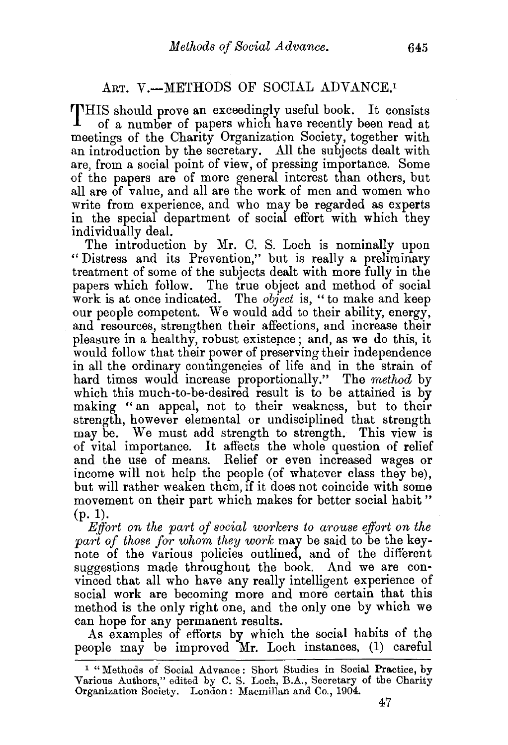## ART. V.-METHODS OF SOCIAL ADVANCE.<sup>1</sup>

THIS should prove an exceedingly useful book. It consists<br>of a number of papers which have recently been road at of a number of papers which have recently been read at meetings of the Charity Organization Society, together with an introduction by the secretary. All the subjects dealt with are, from a social point of view, of pressing importance. Some of the papers are of more general interest than others, but all are of value, and all are the work of men and women who write from experience, and who may be regarded as experts in the special department of social effort with which they individually deal.

The introduction by Mr. C. S. Loch is nominally upon "Distress and its Prevention," but is really a preliminary treatment of some of the subjects dealt with more fully in the papers which follow. The true object and method of social work is at once indicated. The *object* is, "to make and keep our people competent. We would add to their ability, energy, and resources, strengthen their affections, and increase their pleasure in a healthy, robust existepce; and, as we do this, it would follow that their power of preserving their independence in all the ordinary contingencies of life and in the strain of hard times would increase proportionally." The *method* by which this much-to-be-desired result is to be attained is by making "an appeal, not to their weakness, but to their strength, however elemental or undisciplined that strength may be. We must add strength to strength. This view is of vital importance. It affects the whole question of relief and the use of means. Relief or even increased wages or income will not help the people (of whatever class they be), but will rather weaken them, if it does not coincide with some movement on their part which makes for better social habit" (p. 1).

*Effort on the part of social workers to arouse effort on the* part of those for whom they work may be said to be the keynote of the various policies outlined, and of the different suggestions made throughout the book. And we are convinced that all who have any really intelligent experience of social work are becoming more and more certain that this method is the only right one, and the only one by which we

can hope for any permanent results.<br>As examples of efforts by which the social habits of the people may be improved Mr. Loch instances, (1) careful

<sup>&</sup>lt;sup>1</sup> "Methods of Social Advance: Short Studies in Social Practice, by Various Authors," edited by C. S. Loch, B.A., Secretary of the Charity Organization Society. London: Macmillan and Co., 1904.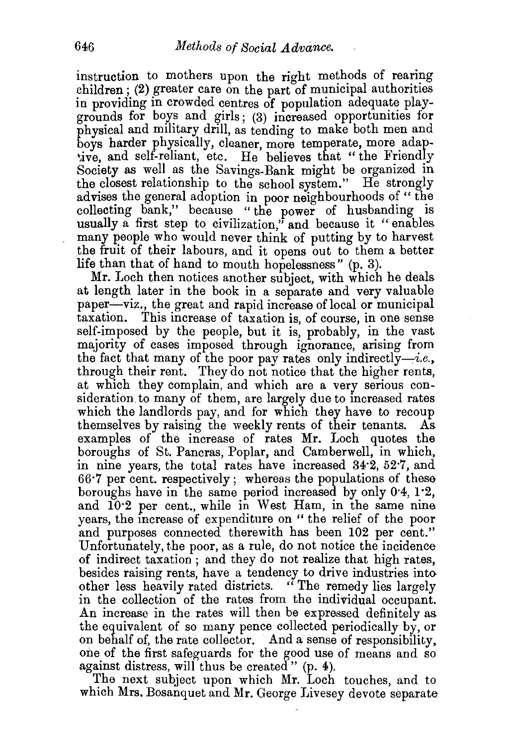instruction to mothers upon the right methods of rearing  $children$ ; (2) greater care on the part of municipal authorities in providing in crowded centres of population adequate playgrounds for boys and girls; (3) increased opportunities for physical and military drill, as tending to make both men and boys harder physically, cleaner, more temperate, more adapive, and self-reliant, etc. He believes that "the Friendly Society as well as the Savings-Bank might be organized in the closest relationship to the school system." He strongly advises the general adoption in poor neighbourhoods of " the collecting bank," because "the power of husbanding is usually a first step to civilization," and because it "enables many people who would never think of putting by to harvest the fruit of their labours, and it opens out to them a better life than that of hand to mouth hopelessness" (p. 3).

Mr. Loch then notices another subject, with which he deals at length later in the book in a separate and very valuable paper—viz., the great and rapid increase of local or municipal taxation. This increase of taxation is of course, in one sense This increase of taxation is, of course, in one sense self-imposed by the people, but it is, probably, in the vast majority of cases imposed through ignorance, arising from the fact that many of the poor pay rates only indirectly-i.e., through their rent. They do not notice that the higher rents, at which they complain, and which are a very serious consideration to many of them, are largely due to increased rates which the landlords pay, and for which they have to recoup themselves by raising the weekly rents of their tenants. As examples of the increase of rates Mr. Loch quotes the boroughs of St. Pancras, Poplar, and Camberwell, in which, in nine years, the total rates have increased 34·2, 52·7, and 66·7 per cent. respectively; whereas the populations of these boroughs have in the same period increased by only 0·4, 1·2, and 10·2 per cent., while in West Ham, in the same nine years, the increase of expenditure on " the relief of the poor and purposes connected therewith has been 102 per cent." Unfortunately, the poor, as a rule, do not notice the incidence of indirect taxation ; and they do not realize that high rates, besides raising rents, have a tendency to drive industries into other less heavily rated districts. "The remedy lies largely in the collection of the rates from the individual occupant. An increase in the rates will then be expressed definitely as the equivalent of so many pence collected periodically by, or on behalf of, the rate collector. And a sense of responsibility, one of the first safeguards for the good use of means and so against distress, will thus be created"  $(p. 4)$ .

The next subject upon which Mr. Loch touches, and to which Mrs. Bosanquet and Mr. George Livesey devote separate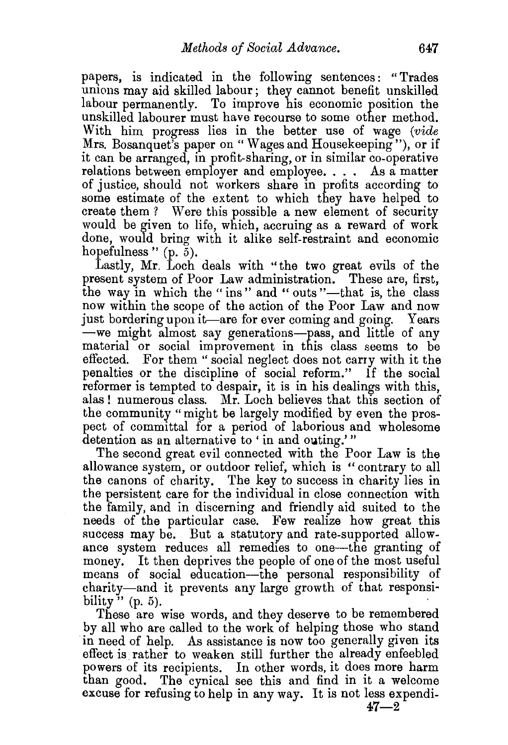papers, is indicated in the following sentences : "Trades unions may aid skilled labour; they cannot benefit unskilled labour permanently. To improve his economic position the unskilled labourer must have recourse to some other method. With him progress lies in the better use of wage *(vide*  Mrs. Bosanquet's paper on "Wages and Housekeeping"), or if it can be arranged, in profit-sharing, or in similar co-operative relations between employer and employee. . . . As a matter of justice, should not workers share in profits according to some estimate of the extent to which they have helped to create them? Were this possible a new element of security would be given to life, which, accruing as a reward of work done, would bring with it alike self-restraint and economic hopefulness "  $(p, \bar{\delta})$ .

Lastly, Mr. Loch deals with ''the two great evils of the present system of Poor Law administration. These are, first, the way in which the "ins" and "outs"—that is, the class now within the scope of the action of the Poor Law and now just bordering upon it—are for ever coming and going. Years -we might almost say generations-pass, and little of any material or social improvement in this class seems to be effected. For them " social neglect does not carry with it the penalties or the discipline of social reform." If the social reformer is tempted to despair, it is in his dealings with this, alas ! numerous class. Mr. Loch believes that this section of the community "might be largely modified by even the prospect of committal for a period of laborious and wholesome detention as an alternative to 'in and outing.'"

The second great evil connected with the Poor Law is the allowance system, or outdoor relief, which is "contrary to all the canons of charity. The key to success in charity lies in the persistent care for the individual in close connection with the family, and in discerning and friendly aid suited to the needs of the particular case. Few realize how great this success may be. But a statutory and rate-supported allowance system reduces all remedies to one-the granting of money. It then deprives the people of one of the most useful means of social education-the personal responsibility of charity-and it prevents any large growth of that responsibility"  $(p. 5)$ .

These are wise words, and they deserve to be remembered by all who are called to the work of helping those who stand in need of help. As assistance is now too generally given its effect is rather to weaken still further the already enfeebled powers of its recipients. In other words, it does more harm than good. The cynical see this and find in it a welcome excuse for refusing to help in any way. It is not less expendi-

 $47 - 2$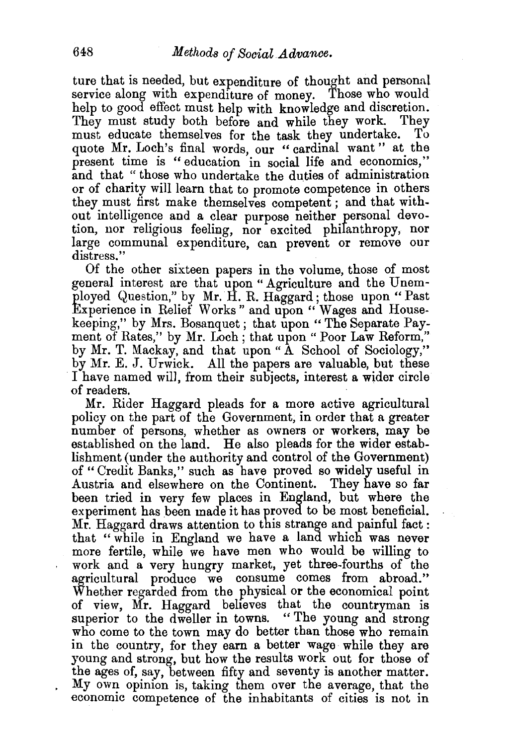ture that is needed, but expenditure of thought and personal service along with expenditure of money. Those who would help to good effect must help with knowledge and discretion. They must study both before and while they work. They must educate themselves for the task they undertake. quote Mr. Loch's final words, our "cardinal want" at the present time is " education in social life and economics," and that " those who undertake the duties of administration or of charity will learn that to promote competence in others they must first make themselves competent; and that without intelligence and a clear purpose neither personal devotion, nor religious feeling, nor excited philanthropy, nor large communal expenditure, can prevent or remove our distress."

Of the other sixteen papers in the volume, those of most general interest are that upon "Agriculture and the Unemployed Question," by Mr. H. R. Haggard ; those upon " Past Experience in Relief Works" and upon "Wages and Housekeeping," by Mrs. Bosanquet; that upon "The Separate Payment of Rates," by Mr. Loch; that upon "Poor Law Reform," by Mr. T. Mackay, and that upon "A School of Sociology," by Mr. E. J. Urwick. All the papers are valuable, but these I have named will, from their subjects, interest a wider circle of readers.

Mr. Rider Haggard pleads for a more active agricultural policy on the part of the Government, in order that a greater number of persons, whether as owners or workers, may be established on the land. He also pleads for the wider establishment (under the authority and control of the Government) of " Credit Banks," such as have proved so widely useful in Austria and elsewhere on the Continent. They have so far been tried in very few places in England, but where the experiment has been made it has proved to be most beneficial. Mr. Haggard draws attention to this strange and painful fact: that "while in England we have a land which was never more fertile, while we have men who would be willing to work and a very hungry market, yet three-fourths of the agricultural produce we consume comes from abroad." Whether regarded from the physical or the economical point of view, Mr. Haggard believes that the countryman is superior to the dweller in towns. "The young and strong who come to the town may do better than those who remain in the country, for they earn a better wage while they are young and strong, but how the results work out for those of the ages of, say, between fifty and seventy is another matter. My own opinion is, taking them over the average, that the economic competence of the inhabitants of cities is not in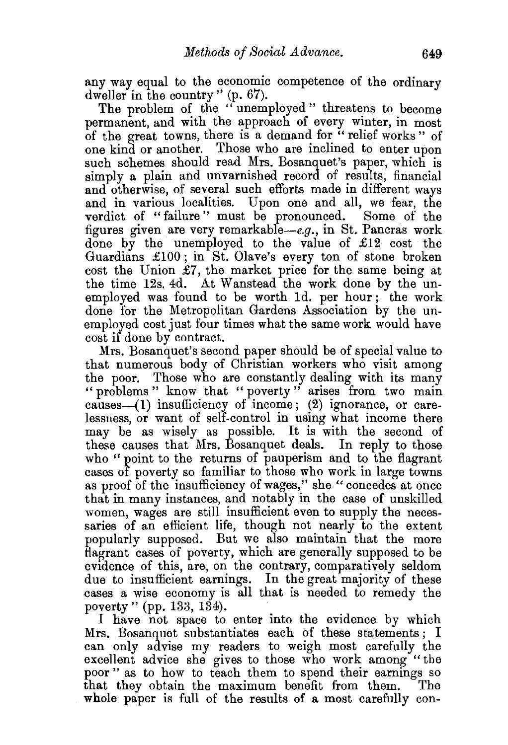any way equal to the economic competence of the ordinary dweller in the country" (p. 67).

The problem of the "unemployed" threatens to become permanent, and with the approach of every winter, in most of the great towns, there is a demand for " relief works" of one kind or another. Those who are inclined to enter upon such schemes should read Mrs. Bosanquet's paper, which is simply a plain and unvarnished record of results, financial and otherwise, of several such efforts made in different ways and in various localities. Upon one and all, we fear, the verdict of "failure'' must be pronounced. Some of the figures given are very remarkable-e.g., in St. Pancras work done by the unemployed to the value of £12 cost the Guardians £100; in St. Olave's every ton of stone broken cost the Union £7, the market price for the same being at the time 12s. 4d. At Wanstead the work done by the unemployed was found to be worth ld. per hour ; the work done for the Metropolitan Gardens Association by the unemployed cost just four times what the same work would have cost if done by contract.

Mrs. Bosanquet's second paper should be of special value to that numerous body of Christian workers who visit among the poor. Those who are constantly dealing with its many " problems " know that " poverty " arises from two main causes-( I) insufficiency of income; (2) ignorance, or carelessness, or want of self-control in using what income there may be as wisely as possible. It is with the second of these causes that Mrs. Bosanquet deals. In reply to those who "point to the returns of pauperism and to the flagrant cases of poverty so familiar to those who work in large towns as proof of the insufficiency of wages," she " concedes at once that in many instances, and notably in the case of unskilled women, wages are still insufficient even to supply the necessaries of an efficient life, though not nearly to the extent popularly supposed. But we also maintain that the more flagrant cases of poverty, which are generally supposed to be evidence of this, are, on the contrary, comparatively seldom due to insufficient earnings. In the great majority of these .cases a wise economy is all that is needed to remedy the poverty" (pp. 133, 134). ·

I have not space to enter into the evidence by which Mrs. Bosanquet substantiates each of these statements; I can only advise my readers to weigh most carefully the excellent advice she gives to those who work among "the poor " as to how to teach them to spend their earnings so that they obtain the maximum benefit from them. The whole paper is full of the results of a most carefully con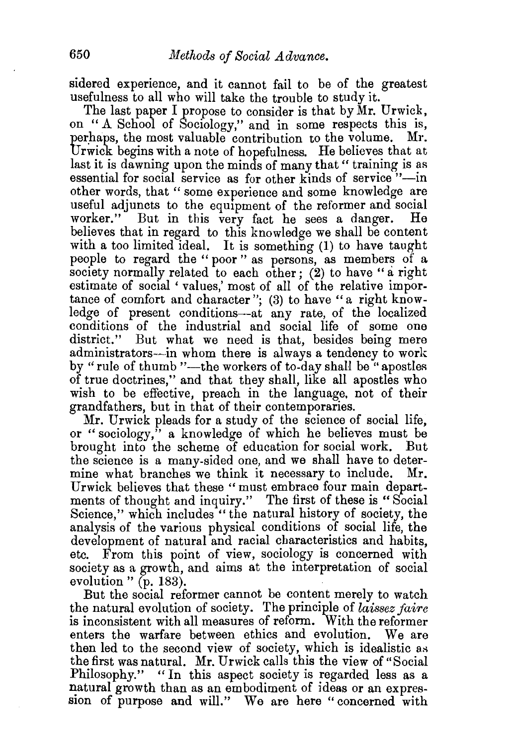sidered experience, and it cannot fail to be of the greatest usefulness to all who will take the trouble to study it.

The last paper I propose to consider is that by Mr. Urwick, on "A School of Sociology," and in some respects this is, perhaps, the most valuable contribution to the volume. Mr. Urwick begins with a note of hopefulness. He believes that at last it is dawning upon the minds of many that "training is as essential for social service as for other kinds of service "-in other words, that" some experience and some knowledge are useful adjuncts to the equipment of the reformer and social worker." But in this very fact he sees a danger. believes that in regard to this knowledge we shall be content with a too limited ideal. It is something (1) to have taught people to regard the "poor" as persons, as members of a society normally related to each other; (2) to have "a right estimate of social 'values,' most of all of the relative importance of comfort and character"; (3) to have "a right knowledge of present conditions-at any rate, of the localized conditions of the industrial and social life of some one district." But what we need is that, besides being mere administrators---in whom there is always a tendency to work by "rule of thumb "--- the workers of to-day shall be "apostles of true doctrines," and that they shall, like all apostles who wish to be effective, preach in the language, not of their grandfathers, but in that of their contemporaries.

Mr. Urwick pleads for a study of the science of social life, or "sociology," a knowledge of which he believes must be brought into the scheme of education for social work. But the science is a many-sided one, and we shall have to determine what branches we think it necessary to include. Mr. Urwick believes that these "must embrace four main departments of thought and inquiry." The first of these is "Social Science," which includes "the natural history of society, the analysis of the various physical conditions of social life, the development of natural and racial characteristics and habits, etc. From this point of view, sociology is concerned with society as a growth, and aims at the interpretation of social evolution " (p. 183).

But the social reformer cannot be content merely to watch the natural evolution of society. The principle of *laissez jaire*  is inconsistent with all measures of reform. With the reformer enters the warfare between ethics and evolution. We are then led to the second view of society, which is idealistic as the first was natural. Mr. Urwick calls this the view of "Social Philosophy." "In this aspect society is regarded less as a natural growth than as an embodiment of ideas or an expression of purpose and will." We are here "concerned with